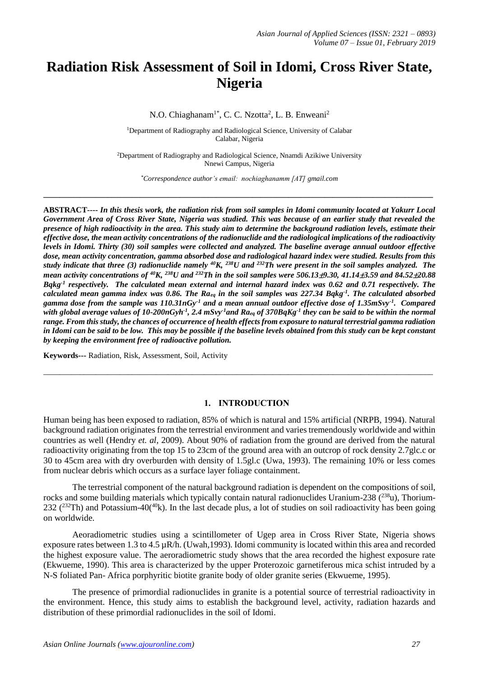# **Radiation Risk Assessment of Soil in Idomi, Cross River State, Nigeria**

N.O. Chiaghanam<sup>1\*</sup>, C. C. Nzotta<sup>2</sup>, L. B. Enweani<sup>2</sup>

<sup>1</sup>Department of Radiography and Radiological Science, University of Calabar Calabar, Nigeria

<sup>2</sup>Department of Radiography and Radiological Science, Nnamdi Azikiwe University Nnewi Campus, Nigeria

*\*Correspondence author's email: nochiaghanamm [AT] gmail.com* **\_\_\_\_\_\_\_\_\_\_\_\_\_\_\_\_\_\_\_\_\_\_\_\_\_\_\_\_\_\_\_\_\_\_\_\_\_\_\_\_\_\_\_\_\_\_\_\_\_\_\_\_\_\_\_\_\_\_\_\_\_\_\_\_\_\_\_\_\_\_\_\_\_\_\_\_\_\_\_\_\_\_\_\_\_\_\_\_\_\_\_\_\_\_\_\_\_**

**ABSTRACT----** *In this thesis work, the radiation risk from soil samples in Idomi community located at Yakurr Local Government Area of Cross River State, Nigeria was studied. This was because of an earlier study that revealed the presence of high radioactivity in the area. This study aim to determine the background radiation levels, estimate their effective dose, the mean activity concentrations of the radionuclide and the radiological implications of the radioactivity levels in Idomi. Thirty (30) soil samples were collected and analyzed. The baseline average annual outdoor effective dose, mean activity concentration, gamma absorbed dose and radiological hazard index were studied. Results from this study indicate that three (3) radionuclide namely <sup>40</sup>K, <sup>238</sup>U and <sup>232</sup>Th were present in the soil samples analyzed. The mean activity concentrations of <sup>40</sup>K, <sup>238</sup>U and <sup>232</sup>Th in the soil samples were 506.139.30, 41.143.59 and 84.5220.88 Bqkg-1 respectively. The calculated mean external and internal hazard index was 0.62 and 0.71 respectively. The calculated mean gamma index was 0.86. The Raeq in the soil samples was 227.34 Bqkg-1 . The calculated absorbed gamma dose from the sample was 110.31nGy-1 and a mean annual outdoor effective dose of 1.35mSvy-1 . Compared with global average values of 10-200nGyh-1 , 2.4 mSvy-1and Raeq of 370BqKg-1 they can be said to be within the normal range. From this study, the chances of occurrence of health effects from exposure to natural terrestrial gamma radiation in Idomi can be said to be low. This may be possible if the baseline levels obtained from this study can be kept constant by keeping the environment free of radioactive pollution.*

**Keywords---** Radiation, Risk, Assessment, Soil, Activity

#### **1. INTRODUCTION**

 $\_$  ,  $\_$  ,  $\_$  ,  $\_$  ,  $\_$  ,  $\_$  ,  $\_$  ,  $\_$  ,  $\_$  ,  $\_$  ,  $\_$  ,  $\_$  ,  $\_$  ,  $\_$  ,  $\_$  ,  $\_$  ,  $\_$  ,  $\_$  ,  $\_$  ,  $\_$  ,  $\_$  ,  $\_$  ,  $\_$  ,  $\_$  ,  $\_$  ,  $\_$  ,  $\_$  ,  $\_$  ,  $\_$  ,  $\_$  ,  $\_$  ,  $\_$  ,  $\_$  ,  $\_$  ,  $\_$  ,  $\_$  ,  $\_$  ,

Human being has been exposed to radiation, 85% of which is natural and 15% artificial (NRPB, 1994). Natural background radiation originates from the terrestrial environment and varies tremendously worldwide and within countries as well (Hendry *et. al*, 2009). About 90% of radiation from the ground are derived from the natural radioactivity originating from the top 15 to 23cm of the ground area with an outcrop of rock density 2.7glc.c or 30 to 45cm area with dry overburden with density of 1.5gl.c (Uwa, 1993). The remaining 10% or less comes from nuclear debris which occurs as a surface layer foliage containment.

The terrestrial component of the natural background radiation is dependent on the compositions of soil, rocks and some building materials which typically contain natural radionuclides Uranium-238  $(^{238}u)$ , Thorium-232 ( $^{232}$ Th) and Potassium-40( $^{40}$ k). In the last decade plus, a lot of studies on soil radioactivity has been going on worldwide.

Aeoradiometric studies using a scintillometer of Ugep area in Cross River State, Nigeria shows exposure rates between 1.3 to 4.5 µR/h. (Uwah,1993). Idomi community is located within this area and recorded the highest exposure value. The aeroradiometric study shows that the area recorded the highest exposure rate (Ekwueme, 1990). This area is characterized by the upper Proterozoic garnetiferous mica schist intruded by a N-S foliated Pan- Africa porphyritic biotite granite body of older granite series (Ekwueme, 1995).

The presence of primordial radionuclides in granite is a potential source of terrestrial radioactivity in the environment. Hence, this study aims to establish the background level, activity, radiation hazards and distribution of these primordial radionuclides in the soil of Idomi.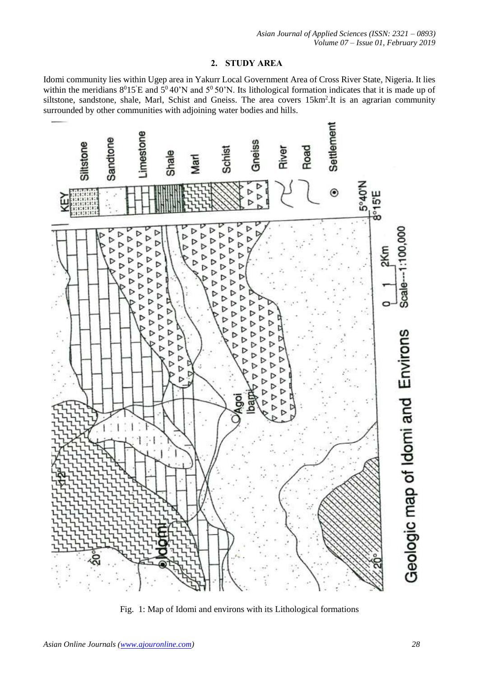## **2. STUDY AREA**

Idomi community lies within Ugep area in Yakurr Local Government Area of Cross River State, Nigeria. It lies within the meridians  $8^015'E$  and  $5^040'N$  and  $5^050'N$ . Its lithological formation indicates that it is made up of siltstone, sandstone, shale, Marl, Schist and Gneiss. The area covers 15km<sup>2</sup>. It is an agrarian community surrounded by other communities with adjoining water bodies and hills.



Fig. 1: Map of Idomi and environs with its Lithological formations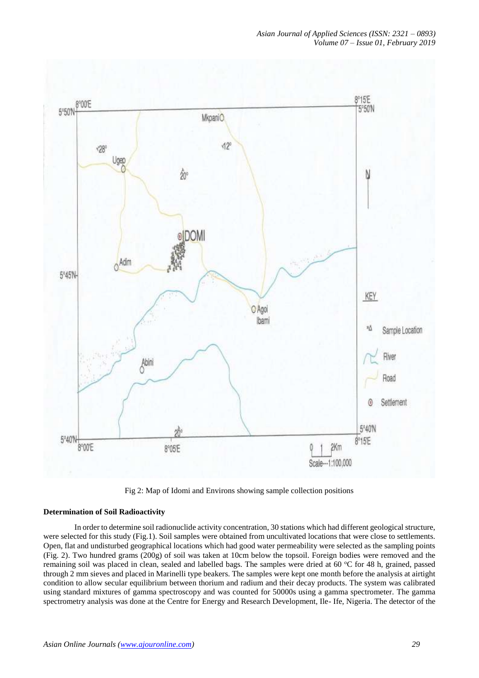

Fig 2: Map of Idomi and Environs showing sample collection positions

### **Determination of Soil Radioactivity**

In order to determine soil radionuclide activity concentration, 30 stations which had different geological structure, were selected for this study (Fig.1). Soil samples were obtained from uncultivated locations that were close to settlements. Open, flat and undisturbed geographical locations which had good water permeability were selected as the sampling points (Fig. 2). Two hundred grams (200g) of soil was taken at 10cm below the topsoil. Foreign bodies were removed and the remaining soil was placed in clean, sealed and labelled bags. The samples were dried at 60 °C for 48 h, grained, passed through 2 mm sieves and placed in Marinelli type beakers. The samples were kept one month before the analysis at airtight condition to allow secular equilibrium between thorium and radium and their decay products. The system was calibrated using standard mixtures of gamma spectroscopy and was counted for 50000s using a gamma spectrometer. The gamma spectrometry analysis was done at the Centre for Energy and Research Development, Ile- Ife, Nigeria. The detector of the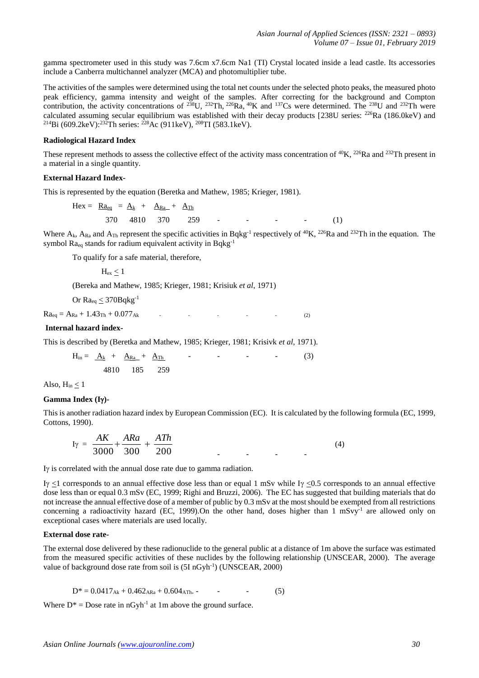gamma spectrometer used in this study was 7.6cm x7.6cm Na1 (TI) Crystal located inside a lead castle. Its accessories include a Canberra multichannel analyzer (MCA) and photomultiplier tube.

The activities of the samples were determined using the total net counts under the selected photo peaks, the measured photo peak efficiency, gamma intensity and weight of the samples. After correcting for the background and Compton contribution, the activity concentrations of <sup>238</sup>U, <sup>232</sup>Th, <sup>226</sup>Ra, <sup>40</sup>K and <sup>137</sup>Cs were determined. The <sup>238</sup>U and <sup>232</sup>Th were calculated assuming secular equilibrium was established with their decay products [238U series: <sup>226</sup>Ra (186.0keV) and <sup>214</sup>Bi (609.2keV):<sup>232</sup>Th series: <sup>228</sup>Ac (911keV), <sup>208</sup>TI (583.1keV).

#### **Radiological Hazard Index**

These represent methods to assess the collective effect of the activity mass concentration of <sup>40</sup>K, <sup>226</sup>Ra and <sup>232</sup>Th present in a material in a single quantity.

#### **External Hazard Index-**

This is represented by the equation (Beretka and Mathew, 1985; Krieger, 1981).

$$
Hex = \underline{Ra}_{eq} = \underline{A_k} + \underline{A_{Ra}} + \underline{A_{Th}}
$$
  
370 4810 370 259 - - - - - (1)

Where  $A_k$ ,  $A_{Ra}$  and  $A_{Th}$  represent the specific activities in Bqkg<sup>-1</sup> respectively of <sup>40</sup>K, <sup>226</sup>Ra and <sup>232</sup>Th in the equation. The symbol  $Ra_{eq}$  stands for radium equivalent activity in Bqkg<sup>-1</sup>

To qualify for a safe material, therefore,

 $H_{\rm ev}$  < 1

(Bereka and Mathew, 1985; Krieger, 1981; Krisiuk *et al*, 1971)

Or  $Ra_{eq}$  < 370Bqkg<sup>-1</sup>

 $Ra_{eq} = A_{Ra} + 1.43T_{h} + 0.077_{Ak}$  - - - - - - (2)

#### **Internal hazard index-**

This is described by (Beretka and Mathew, 1985; Krieger, 1981; Krisivk *et al*, 1971).

 $H_{in} = A_k + \underline{A}_{Ra} + \underline{A}_{Th}$  - - - - (3) 4810 185 259

Also,  $H_{in} < 1$ 

#### **Gamma Index (I)-**

This is another radiation hazard index by European Commission (EC). It is calculated by the following formula (EC, 1999, Cottons, 1990).

$$
I_Y = \frac{AK}{3000} + \frac{ARA}{300} + \frac{ATH}{200}
$$
 (4)

Iy is correlated with the annual dose rate due to gamma radiation.

Iy <1 corresponds to an annual effective dose less than or equal 1 mSv while Iy <0.5 corresponds to an annual effective dose less than or equal 0.3 mSv (EC, 1999; Righi and Bruzzi, 2006). The EC has suggested that building materials that do not increase the annual effective dose of a member of public by 0.3 mSv at the most should be exempted from all restrictions concerning a radioactivity hazard (EC, 1999). On the other hand, doses higher than 1 mSvy<sup>-1</sup> are allowed only on exceptional cases where materials are used locally.

#### **External dose rate-**

The external dose delivered by these radionuclide to the general public at a distance of 1m above the surface was estimated from the measured specific activities of these nuclides by the following relationship (UNSCEAR, 2000). The average value of background dose rate from soil is (5I nGyh<sup>-1</sup>) (UNSCEAR, 2000)

$$
D^* = 0.0417_{Ak} + 0.462_{ARa} + 0.604_{ATh} - \tag{5}
$$

Where  $D^*$  = Dose rate in nGyh<sup>-1</sup> at 1m above the ground surface.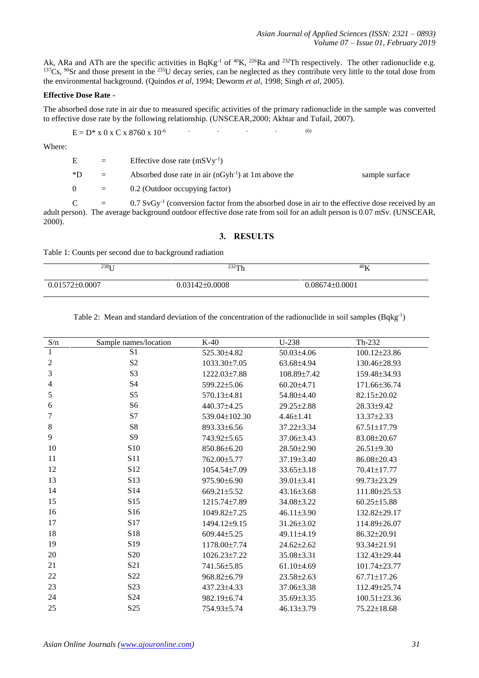Ak, ARa and ATh are the specific activities in BqKg<sup>-1</sup> of <sup>40</sup>K, <sup>226</sup>Ra and <sup>232</sup>Th respectively. The other radionuclide e.g.  $137C_s$ ,  $90Sr$  and those present in the  $235U$  decay series, can be neglected as they contribute very little to the total dose from the environmental background. (Quindos *et al*, 1994; Deworm *et al*, 1998; Singh *et al*, 2005).

#### **Effective Dose Rate -**

The absorbed dose rate in air due to measured specific activities of the primary radionuclide in the sample was converted to effective dose rate by the following relationship. (UNSCEAR,2000; Akhtar and Tufail, 2007).

$$
E = D^* \times 0 \times C \times 8760 \times 10^{-6}
$$
 (6)

Where:

| $E_{\parallel}$ | $=$      | Effective dose rate $(mSVy^{-1})$                                                                              |                |
|-----------------|----------|----------------------------------------------------------------------------------------------------------------|----------------|
| $*D$            | $=$      | Absorbed dose rate in air $(nGyh^{-1})$ at 1m above the                                                        | sample surface |
| $\Omega$        | $\equiv$ | 0.2 (Outdoor occupying factor)                                                                                 |                |
| $\mathcal{C}$   | $=$      | $0.7$ SvGy <sup>-1</sup> (conversion factor from the absorbed dose in air to the effective dose received by an |                |

adult person). The average background outdoor effective dose rate from soil for an adult person is 0.07 mSv. (UNSCEAR, 2000).

### **3. RESULTS**

Table 1: Counts per second due to background radiation

| $238$ [ ]          | 232Th              | $40\nu$<br>v       |
|--------------------|--------------------|--------------------|
| $0.01572\pm0.0007$ | $0.03142\pm0.0008$ | $0.08674\pm0.0001$ |

Table 2: Mean and standard deviation of the concentration of the radionuclide in soil samples (Bqkg<sup>-1</sup>)

| S/n            | Sample names/location | $K-40$             | $U-238$          | Th-232             |
|----------------|-----------------------|--------------------|------------------|--------------------|
| 1              | S <sub>1</sub>        | 525.30±4.82        | 50.03±4.06       | 100.12±23.86       |
| $\mathfrak{2}$ | S <sub>2</sub>        | 1033.30±7.05       | 63.68±4.94       | 130.46±28.93       |
| 3              | S <sub>3</sub>        | 1222.03±7.88       | 108.89±7.42      | 159.48±34.93       |
| $\overline{4}$ | S <sub>4</sub>        | 599.22±5.06        | $60.20 \pm 4.71$ | 171.66±36.74       |
| 5              | S <sub>5</sub>        | 570.13±4.81        | 54.80±4.40       | 82.15±20.02        |
| 6              | S <sub>6</sub>        | 440.37±4.25        | 29.25±2.88       | 28.33±9.42         |
| 7              | S7                    | 539.04±102.30      | $4.46 \pm 1.41$  | $13.37 \pm 2.33$   |
| $\,8\,$        | S8                    | 893.33±6.56        | $37.22 \pm 3.34$ | 67.51±17.79        |
| 9              | S <sub>9</sub>        | 743.92±5.65        | 37.06±3.43       | 83.08±20.67        |
| 10             | S10                   | 850.86±6.20        | $28.50 \pm 2.90$ | $26.51 \pm 9.30$   |
| 11             | S11                   | 762.00±5.77        | $37.19 \pm 3.40$ | 86.08±20.43        |
| 12             | S <sub>12</sub>       | $1054.54 \pm 7.09$ | $33.65 \pm 3.18$ | $70.41 \pm 17.77$  |
| 13             | S13                   | 975.90±6.90        | $39.01 \pm 3.41$ | 99.73±23.29        |
| 14             | S14                   | 669.21±5.52        | $43.16 \pm 3.68$ | 111.80±25.53       |
| 15             | S15                   | 1215.74±7.89       | 34.08±3.22       | $60.25 \pm 15.88$  |
| 16             | S16                   | 1049.82±7.25       | $46.11\pm3.90$   | 132.82±29.17       |
| 17             | S17                   | 1494.12±9.15       | $31.26 \pm 3.02$ | 114.89±26.07       |
| 18             | S18                   | $609.44 \pm 5.25$  | 49.11±4.19       | 86.32±20.91        |
| 19             | S <sub>19</sub>       | 1178.00±7.74       | $24.62 \pm 2.62$ | 93.34±21.91        |
| 20             | S <sub>20</sub>       | 1026.23±7.22       | 35.08±3.31       | 132.43±29.44       |
| 21             | S <sub>21</sub>       | 741.56±5.85        | $61.10\pm4.69$   | 101.74±23.77       |
| $22\,$         | S <sub>22</sub>       | 968.82±6.79        | $23.58 \pm 2.63$ | $67.71 \pm 17.26$  |
| 23             | S <sub>23</sub>       | 437.23±4.33        | $37.06 \pm 3.38$ | 112.49±25.74       |
| 24             | S <sub>24</sub>       | 982.19±6.74        | 35.69±3.35       | $100.51 \pm 23.36$ |
| 25             | S <sub>25</sub>       | 754.93±5.74        | $46.13\pm3.79$   | 75.22±18.68        |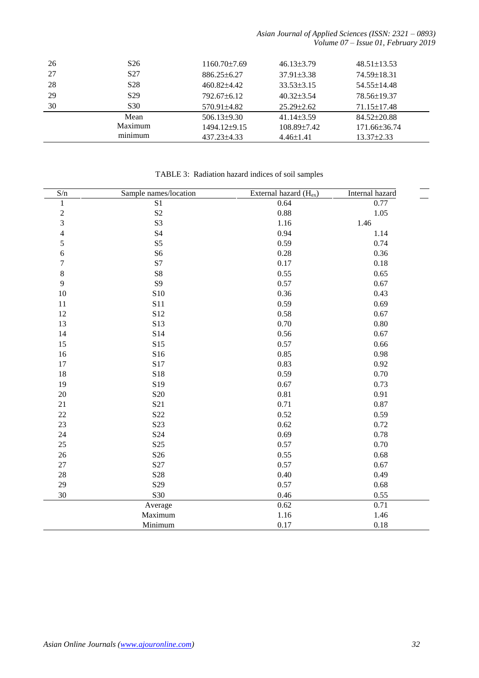*Asian Journal of Applied Sciences (ISSN: 2321 – 0893) Volume 07 – Issue 01, February 2019*

| 26 | S <sub>26</sub> | $1160.70\pm7.69$  | $46.13\pm3.79$    | $48.51 \pm 13.53$ |
|----|-----------------|-------------------|-------------------|-------------------|
| 27 | S <sub>27</sub> | $886.25 \pm 6.27$ | $37.91 \pm 3.38$  | 74.59±18.31       |
| 28 | S <sub>28</sub> | $460.82\pm4.42$   | $33.53\pm3.15$    | $54.55 \pm 14.48$ |
| 29 | S <sub>29</sub> | $792.67\pm 6.12$  | $40.32\pm3.54$    | 78.56±19.37       |
| 30 | S <sub>30</sub> | $570.91 \pm 4.82$ | $25.29 \pm 2.62$  | $71.15 \pm 17.48$ |
|    | Mean            | $506.13\pm9.30$   | $41.14\pm3.59$    | $84.52 \pm 20.88$ |
|    | Maximum         | 1494.12±9.15      | $108.89 \pm 7.42$ | 171.66±36.74      |
|    | minimum         | 437.23±4.33       | $4.46\pm1.41$     | $13.37 \pm 2.33$  |

| S/n                      | Sample names/location | External hazard (Hex) | Internal hazard |
|--------------------------|-----------------------|-----------------------|-----------------|
| $\,1\,$                  | S1                    | 0.64                  | 0.77            |
| $\overline{c}$           | S <sub>2</sub>        | 0.88                  | 1.05            |
| $\overline{\mathbf{3}}$  | S <sub>3</sub>        | 1.16                  | 1.46            |
| $\overline{\mathcal{L}}$ | S4                    | 0.94                  | 1.14            |
| 5                        | S <sub>5</sub>        | 0.59                  | 0.74            |
| 6                        | S <sub>6</sub>        | 0.28                  | 0.36            |
| $\sqrt{ }$               | S7                    | 0.17                  | 0.18            |
| $\,8$                    | ${\rm S}8$            | 0.55                  | 0.65            |
| 9                        | <b>S9</b>             | 0.57                  | 0.67            |
| 10                       | <b>S10</b>            | 0.36                  | 0.43            |
| 11                       | S11                   | 0.59                  | 0.69            |
| 12                       | S12                   | 0.58                  | 0.67            |
| 13                       | S13                   | 0.70                  | 0.80            |
| 14                       | S14                   | 0.56                  | 0.67            |
| 15                       | S15                   | 0.57                  | 0.66            |
| 16                       | S16                   | 0.85                  | 0.98            |
| 17                       | S17                   | 0.83                  | 0.92            |
| 18                       | S18                   | 0.59                  | 0.70            |
| 19                       | S19                   | 0.67                  | 0.73            |
| 20                       | S <sub>20</sub>       | 0.81                  | 0.91            |
| 21                       | S <sub>21</sub>       | 0.71                  | 0.87            |
| 22                       | S <sub>22</sub>       | 0.52                  | 0.59            |
| 23                       | S23                   | 0.62                  | 0.72            |
| 24                       | S <sub>24</sub>       | 0.69                  | 0.78            |
| 25                       | S <sub>25</sub>       | 0.57                  | 0.70            |
| 26                       | S <sub>26</sub>       | 0.55                  | 0.68            |
| 27                       | S27                   | 0.57                  | 0.67            |
| 28                       | S <sub>28</sub>       | 0.40                  | 0.49            |
| 29                       | S <sub>29</sub>       | 0.57                  | 0.68            |
| 30                       | S30                   | 0.46                  | 0.55            |
|                          | Average               | 0.62                  | 0.71            |
|                          | Maximum               | 1.16                  | 1.46            |
|                          | Minimum               | 0.17                  | 0.18            |

TABLE 3: Radiation hazard indices of soil samples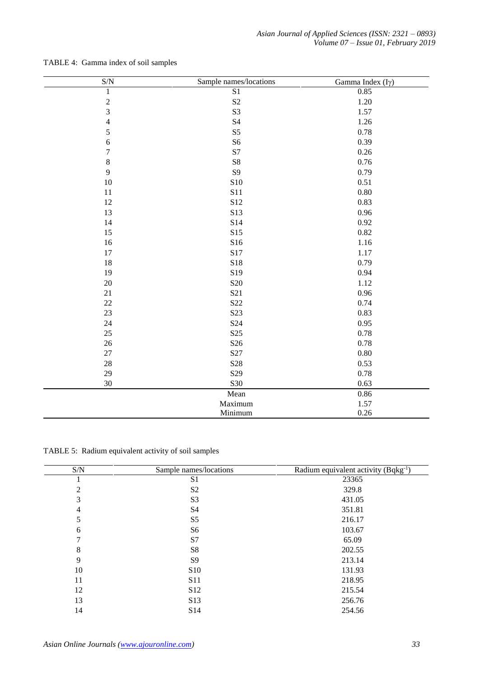| $\ensuremath{\mathrm{S/N}}$ | Sample names/locations | Gamma Index $(I\gamma)$ |
|-----------------------------|------------------------|-------------------------|
| $\mathbf{1}$                | S <sub>1</sub>         | 0.85                    |
| $\overline{c}$              | $\rm S2$               | 1.20                    |
| 3                           | S <sub>3</sub>         | 1.57                    |
| $\overline{4}$              | <b>S4</b>              | 1.26                    |
| 5                           | $\rm S5$               | 0.78                    |
| $\epsilon$                  | S <sub>6</sub>         | 0.39                    |
| $\boldsymbol{7}$            | S7                     | 0.26                    |
| $\,8\,$                     | ${\bf S8}$             | 0.76                    |
| 9                           | <b>S9</b>              | 0.79                    |
| $10\,$                      | ${\bf S10}$            | 0.51                    |
| 11                          | S11                    | 0.80                    |
| 12                          | S12                    | 0.83                    |
| 13                          | S13                    | 0.96                    |
| 14                          | S14                    | 0.92                    |
| 15                          | S15                    | 0.82                    |
| 16                          | S16                    | 1.16                    |
| 17                          | S17                    | 1.17                    |
| 18                          | S18                    | 0.79                    |
| 19                          | S19                    | 0.94                    |
| $20\,$                      | <b>S20</b>             | 1.12                    |
| $21\,$                      | S21                    | 0.96                    |
| $22\,$                      | S <sub>22</sub>        | 0.74                    |
| 23                          | S <sub>23</sub>        | 0.83                    |
| $24\,$                      | S <sub>24</sub>        | 0.95                    |
| 25                          | S <sub>25</sub>        | 0.78                    |
| $26\,$                      | S <sub>26</sub>        | 0.78                    |
| $27\,$                      | S27                    | 0.80                    |
| $28\,$                      | S <sub>28</sub>        | 0.53                    |
| 29                          | S <sub>29</sub>        | 0.78                    |
| 30                          | S30                    | 0.63                    |
|                             | Mean                   | 0.86                    |
|                             | Maximum                | 1.57                    |
|                             | Minimum                | 0.26                    |

## TABLE 4: Gamma index of soil samples

TABLE 5: Radium equivalent activity of soil samples

| S/N            | Sample names/locations | Radium equivalent activity (Bqkg <sup>-1</sup> ) |
|----------------|------------------------|--------------------------------------------------|
|                | S <sub>1</sub>         | 23365                                            |
| 2              | S <sub>2</sub>         | 329.8                                            |
| 3              | S <sub>3</sub>         | 431.05                                           |
| $\overline{4}$ | S4                     | 351.81                                           |
| 5              | S <sub>5</sub>         | 216.17                                           |
| 6              | S6                     | 103.67                                           |
| 7              | S7                     | 65.09                                            |
| 8              | S8                     | 202.55                                           |
| 9              | S <sub>9</sub>         | 213.14                                           |
| 10             | S <sub>10</sub>        | 131.93                                           |
| 11             | <b>S11</b>             | 218.95                                           |
| 12             | S <sub>12</sub>        | 215.54                                           |
| 13             | S13                    | 256.76                                           |
| 14             | S <sub>14</sub>        | 254.56                                           |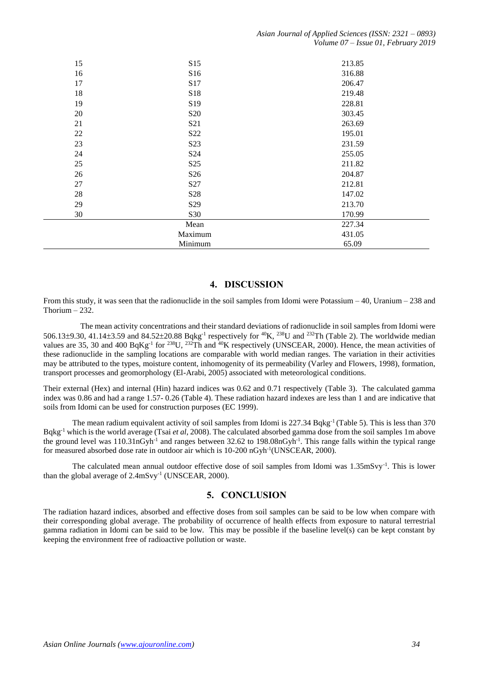| 15 | S15             | 213.85 |
|----|-----------------|--------|
| 16 | S <sub>16</sub> | 316.88 |
| 17 | S17             | 206.47 |
| 18 | S18             | 219.48 |
| 19 | S19             | 228.81 |
| 20 | S <sub>20</sub> | 303.45 |
| 21 | S <sub>21</sub> | 263.69 |
| 22 | S22             | 195.01 |
| 23 | S <sub>23</sub> | 231.59 |
| 24 | S <sub>24</sub> | 255.05 |
| 25 | S <sub>25</sub> | 211.82 |
| 26 | S <sub>26</sub> | 204.87 |
| 27 | S27             | 212.81 |
| 28 | S <sub>28</sub> | 147.02 |
| 29 | S29             | 213.70 |
| 30 | S30             | 170.99 |
|    | Mean            | 227.34 |
|    | Maximum         | 431.05 |
|    | Minimum         | 65.09  |

## **4. DISCUSSION**

From this study, it was seen that the radionuclide in the soil samples from Idomi were Potassium – 40, Uranium – 238 and Thorium  $-232$ .

 The mean activity concentrations and their standard deviations of radionuclide in soil samples from Idomi were 506.13±9.30, 41.14±3.59 and 84.52±20.88 Bqkg<sup>-1</sup> respectively for <sup>40</sup>K, <sup>238</sup>U and <sup>232</sup>Th (Table 2). The worldwide median values are 35, 30 and 400 BqKg<sup>-1</sup> for <sup>238</sup>U, <sup>232</sup>Th and <sup>40</sup>K respectively (UNSCEAR, 2000). Hence, the mean activities of these radionuclide in the sampling locations are comparable with world median ranges. The variation in their activities may be attributed to the types, moisture content, inhomogenity of its permeability (Varley and Flowers, 1998), formation, transport processes and geomorphology (El-Arabi, 2005) associated with meteorological conditions.

Their external (Hex) and internal (Hin) hazard indices was 0.62 and 0.71 respectively (Table 3). The calculated gamma index was 0.86 and had a range 1.57- 0.26 (Table 4). These radiation hazard indexes are less than 1 and are indicative that soils from Idomi can be used for construction purposes (EC 1999).

The mean radium equivalent activity of soil samples from Idomi is  $227.34$  Bqkg<sup>-1</sup> (Table 5). This is less than 370 Bqkg-1 which is the world average (Tsai *et al*, 2008). The calculated absorbed gamma dose from the soil samples 1m above the ground level was 110.31nGyh<sup>-1</sup> and ranges between 32.62 to 198.08nGyh<sup>-1</sup>. This range falls within the typical range for measured absorbed dose rate in outdoor air which is 10-200 nGyh<sup>-1</sup>(UNSCEAR, 2000).

The calculated mean annual outdoor effective dose of soil samples from Idomi was 1.35mSvy<sup>-1</sup>. This is lower than the global average of 2.4mSvy<sup>-1</sup> (UNSCEAR, 2000).

## **5. CONCLUSION**

The radiation hazard indices, absorbed and effective doses from soil samples can be said to be low when compare with their corresponding global average. The probability of occurrence of health effects from exposure to natural terrestrial gamma radiation in Idomi can be said to be low. This may be possible if the baseline level(s) can be kept constant by keeping the environment free of radioactive pollution or waste.